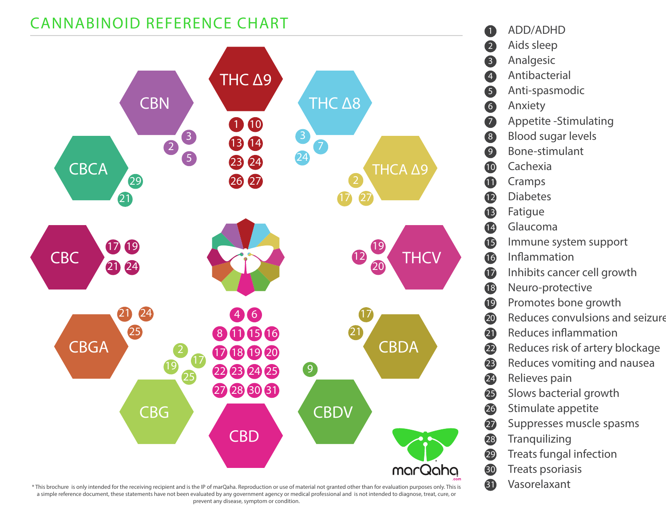### **CANNABINOID REFERENCE CHART**



*\* This brochure is only intended for the receiving recipient and is the IP of marQaha. Reproduction or use of material not granted other than for evaluation purposes only. This is* **31** *a simple reference document, these statements have not been evaluated by any government agency or medical professional and is not intended to diagnose, treat, cure, or prevent any disease, symptom or condition.*

#### ADD/ADHD

- Aids sleep
- Analgesic
- Antibacterial
- Anti-spasmodic
- Anxiety
- Appetite -Stimulating
- Blood sugar levels
- Bone-stimulant
- Cachexia
- Cramps
- Diabetes
- Fatigue
- Glaucoma
- Immune system support
- **Inflammation**
- Inhibits cancer cell growth
- Neuro-protective
- Promotes bone growth
- Reduces convulsions and seizure
- Reduces inflammation
- Reduces risk of artery blockage
- Reduces vomiting and nausea
- Relieves pain
- Slows bacterial growth
- Stimulate appetite
- Suppresses muscle spasms
- **Tranquilizing**
- Treats fungal infection
- Treats psoriasis
- Vasorelaxant